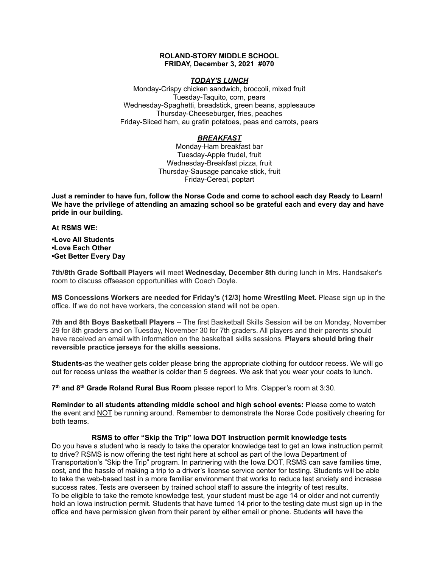## **ROLAND-STORY MIDDLE SCHOOL FRIDAY, December 3, 2021 #070**

## *TODAY'S LUNCH*

Monday-Crispy chicken sandwich, broccoli, mixed fruit Tuesday-Taquito, corn, pears Wednesday-Spaghetti, breadstick, green beans, applesauce Thursday-Cheeseburger, fries, peaches Friday-Sliced ham, au gratin potatoes, peas and carrots, pears

# *BREAKFAST*

Monday-Ham breakfast bar Tuesday-Apple frudel, fruit Wednesday-Breakfast pizza, fruit Thursday-Sausage pancake stick, fruit Friday-Cereal, poptart

Just a reminder to have fun, follow the Norse Code and come to school each day Ready to Learn! **We have the privilege of attending an amazing school so be grateful each and every day and have pride in our building.**

#### **At RSMS WE:**

**•Love All Students •Love Each Other •Get Better Every Day**

**7th/8th Grade Softball Players** will meet **Wednesday, December 8th** during lunch in Mrs. Handsaker's room to discuss offseason opportunities with Coach Doyle.

**MS Concessions Workers are needed for Friday's (12/3) home Wrestling Meet.** Please sign up in the office. If we do not have workers, the concession stand will not be open.

**7th and 8th Boys Basketball Players** -- The first Basketball Skills Session will be on Monday, November 29 for 8th graders and on Tuesday, November 30 for 7th graders. All players and their parents should have received an email with information on the basketball skills sessions. **Players should bring their reversible practice jerseys for the skills sessions.**

**Students-**as the weather gets colder please bring the appropriate clothing for outdoor recess. We will go out for recess unless the weather is colder than 5 degrees. We ask that you wear your coats to lunch.

**7 th and 8 th Grade Roland Rural Bus Room** please report to Mrs. Clapper's room at 3:30.

**Reminder to all students attending middle school and high school events:** Please come to watch the event and NOT be running around. Remember to demonstrate the Norse Code positively cheering for both teams.

#### **RSMS to offer "Skip the Trip" Iowa DOT instruction permit knowledge tests**

Do you have a student who is ready to take the operator knowledge test to get an Iowa instruction permit to drive? RSMS is now offering the test right here at school as part of the Iowa Department of Transportation's "Skip the Trip" program. In partnering with the Iowa DOT, RSMS can save families time, cost, and the hassle of making a trip to a driver's license service center for testing. Students will be able to take the web-based test in a more familiar environment that works to reduce test anxiety and increase success rates. Tests are overseen by trained school staff to assure the integrity of test results. To be eligible to take the remote knowledge test, your student must be age 14 or older and not currently hold an Iowa instruction permit. Students that have turned 14 prior to the testing date must sign up in the office and have permission given from their parent by either email or phone. Students will have the